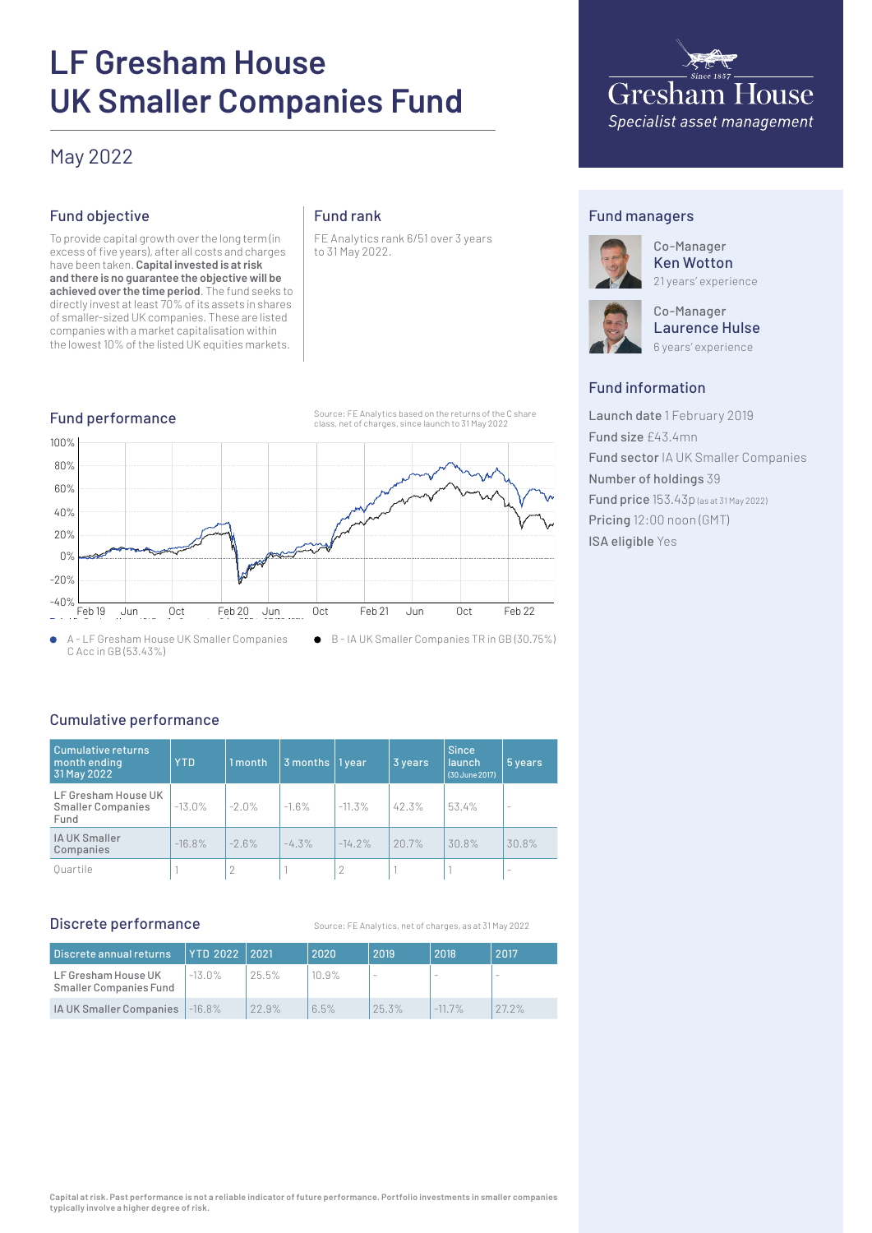# **LF Gresham House UK Smaller Companies Fund**

# May 2022

# Fund objective

To provide capital growth over the long term (in excess of five years), after all costs and charges have been taken. **Capital invested is at risk and there is no guarantee the objective will be achieved over the time period**. The fund seeks to directly invest at least 70% of its assets in shares of smaller-sized UK companies. These are listed companies with a market capitalisation within the lowest 10% of the listed UK equities markets.

## Fund rank

FE Analytics rank 6/51 over 3 years to 31 May 2022.



# Fund managers



Co-Manager Ken Wotton 21 years' experience

**Gresham House** Specialist asset management

Co-Manager Laurence Hulse 6 years' experience

## Fund information

Launch date 1 February 2019 Fund size £43.4mn Fund sector IA UK Smaller Companies Number of holdings 39 Fund price 153.43p (as at 31 May 2022) Pricing 12:00 noon (GMT) ISA eligible Yes

# Cumulative performance

| Cumulative returns<br>month ending<br>31 May 2022       | <b>YTD</b> | 1 month | $3$ months   1 year |           | 3 years | <b>Since</b><br><b>launch</b><br>(30 June 2017) | 5 years |
|---------------------------------------------------------|------------|---------|---------------------|-----------|---------|-------------------------------------------------|---------|
| LF Gresham House UK<br><b>Smaller Companies</b><br>Fund | $-13.0%$   | $-2.0%$ | $-1.6%$             | $-11.3%$  | 42.3%   | 53.4%                                           |         |
| IA UK Smaller<br>Companies                              | $-16.8%$   | $-2.6%$ | $-4.3%$             | $-14.2\%$ | 20.7%   | 30.8%                                           | 30.8%   |
| Ouartile                                                |            |         |                     |           |         |                                                 | -       |

#### Discrete performance

Source: FE Analytics, net of charges, as at 31 May 2022

| Discrete annual returns                       | YTD 2022   2021 |       | 2020  | 2019  | 2018      | 2017                     |
|-----------------------------------------------|-----------------|-------|-------|-------|-----------|--------------------------|
| LF Gresham House UK<br>Smaller Companies Fund | $-13.0\%$       | 25.5% | 10.9% |       |           | $\overline{\phantom{a}}$ |
| IA UK Smaller Companies                       | $-16.8%$        | 22.9% | 6.5%  | 25.3% | $-11.7\%$ | 27.2%                    |